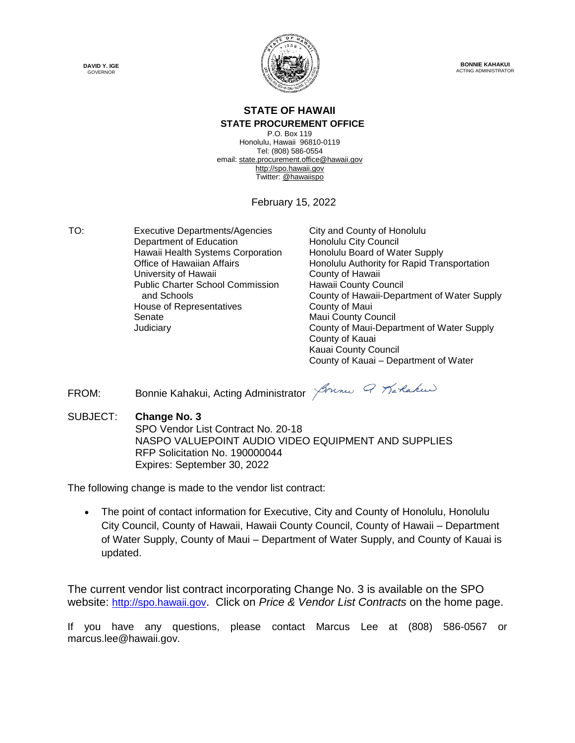



**BONNIE KAHAKUI** ACTING ADMINISTRATOR

# **STATE OF HAWAII**

#### **STATE PROCUREMENT OFFICE**

P.O. Box 119 Honolulu, Hawaii 96810-0119 Tel: (808) 586-0554 email[: state.procurement.office@hawaii.gov](mailto:state.procurement.office@hawaii.gov) [http://spo.hawaii.gov](http://spo.hawaii.gov/) Twitter: [@hawaiispo](https://twitter.com/hawaiispo)

February 15, 2022

TO: Executive Departments/Agencies City and County of Honolulu Department of Education Honolulu City Council Hawaii Health Systems Corporation Honolulu Board of Water Supply University of Hawaii **County of Hawaii** County of Hawaii Public Charter School Commission and Schools House of Representatives Senate Maui County Council

Office of Hawaiian Affairs **Honolulu Authority for Rapid Transportation** Hawaii County Council County of Hawaii-Department of Water Supply Judiciary County of Maui-Department of Water Supply County of Kauai Kauai County Council County of Kauai – Department of Water

FROM: Bonnie Kahakui, Acting Administrator *Journes 9 Karlakus* 

SUBJECT: **Change No. 3**

SPO Vendor List Contract No. 20-18 NASPO VALUEPOINT AUDIO VIDEO EQUIPMENT AND SUPPLIES RFP Solicitation No. 190000044 Expires: September 30, 2022

The following change is made to the vendor list contract:

 The point of contact information for Executive, City and County of Honolulu, Honolulu City Council, County of Hawaii, Hawaii County Council, County of Hawaii – Department of Water Supply, County of Maui – Department of Water Supply, and County of Kauai is updated.

The current vendor list contract incorporating Change No. 3 is available on the SPO website: [http://spo.hawaii.gov](http://spo.hawaii.gov/). Click on *Price & Vendor List Contracts* on the home page.

If you have any questions, please contact Marcus Lee at (808) 586-0567 or marcus.lee@hawaii.gov.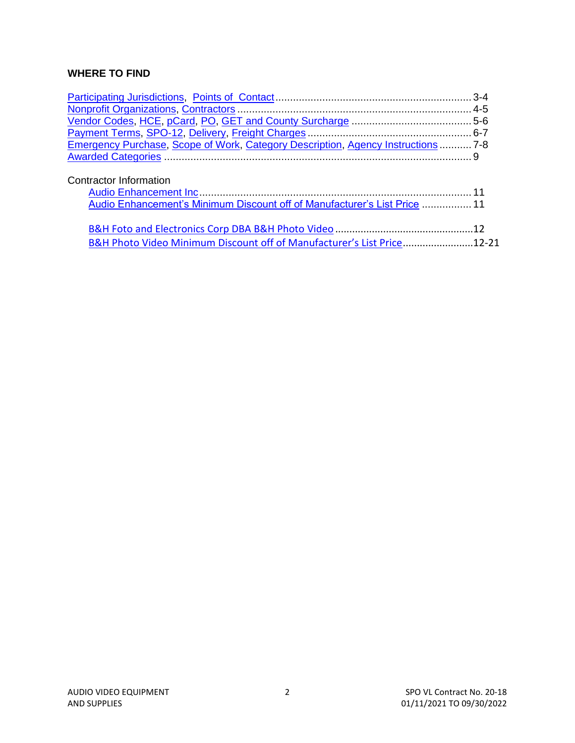# **WHERE TO FIND**

| Emergency Purchase, Scope of Work, Category Description, Agency Instructions 7-8 |  |
|----------------------------------------------------------------------------------|--|
|                                                                                  |  |
| Contractor Information                                                           |  |
| Audio Enhancement's Minimum Discount off of Manufacturer's List Price  11        |  |
|                                                                                  |  |
|                                                                                  |  |
| B&H Photo Video Minimum Discount off of Manufacturer's List Price12-21           |  |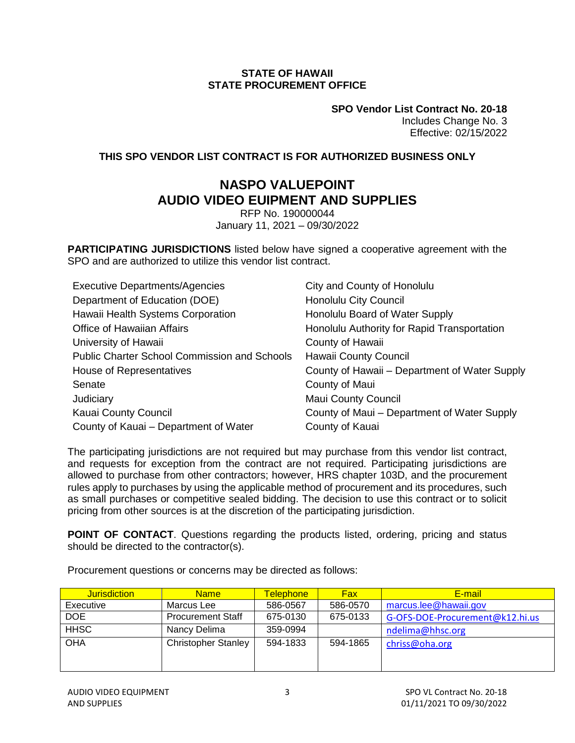#### **STATE OF HAWAII STATE PROCUREMENT OFFICE**

**SPO Vendor List Contract No. 20-18** Includes Change No. 3 Effective: 02/15/2022

## <span id="page-2-0"></span>**THIS SPO VENDOR LIST CONTRACT IS FOR AUTHORIZED BUSINESS ONLY**

# **NASPO VALUEPOINT AUDIO VIDEO EUIPMENT AND SUPPLIES**

RFP No. 190000044 January 11, 2021 – 09/30/2022

**PARTICIPATING JURISDICTIONS** listed below have signed a cooperative agreement with the SPO and are authorized to utilize this vendor list contract.

| <b>Executive Departments/Agencies</b>               | City and County of Honolulu                   |
|-----------------------------------------------------|-----------------------------------------------|
| Department of Education (DOE)                       | <b>Honolulu City Council</b>                  |
| Hawaii Health Systems Corporation                   | Honolulu Board of Water Supply                |
| Office of Hawaiian Affairs                          | Honolulu Authority for Rapid Transportation   |
| University of Hawaii                                | County of Hawaii                              |
| <b>Public Charter School Commission and Schools</b> | Hawaii County Council                         |
| House of Representatives                            | County of Hawaii – Department of Water Supply |
| Senate                                              | County of Maui                                |
| Judiciary                                           | <b>Maui County Council</b>                    |
| Kauai County Council                                | County of Maui - Department of Water Supply   |
| County of Kauai – Department of Water               | County of Kauai                               |

The participating jurisdictions are not required but may purchase from this vendor list contract, and requests for exception from the contract are not required. Participating jurisdictions are allowed to purchase from other contractors; however, HRS chapter 103D, and the procurement rules apply to purchases by using the applicable method of procurement and its procedures, such as small purchases or competitive sealed bidding. The decision to use this contract or to solicit pricing from other sources is at the discretion of the participating jurisdiction.

**POINT OF CONTACT**. Questions regarding the products listed, ordering, pricing and status should be directed to the contractor(s).

| <b>Jurisdiction</b> | <b>Name</b>                | <u>Telephone_</u> | <b>Fax</b> | E-mail                          |
|---------------------|----------------------------|-------------------|------------|---------------------------------|
| Executive           | Marcus Lee                 | 586-0567          | 586-0570   | marcus.lee@hawaii.gov           |
| <b>DOE</b>          | <b>Procurement Staff</b>   | 675-0130          | 675-0133   | G-OFS-DOE-Procurement@k12.hi.us |
| <b>HHSC</b>         | Nancy Delima               | 359-0994          |            | ndelima@hhsc.org                |
| <b>OHA</b>          | <b>Christopher Stanley</b> | 594-1833          | 594-1865   | chriss@oha.org                  |
|                     |                            |                   |            |                                 |
|                     |                            |                   |            |                                 |

Procurement questions or concerns may be directed as follows: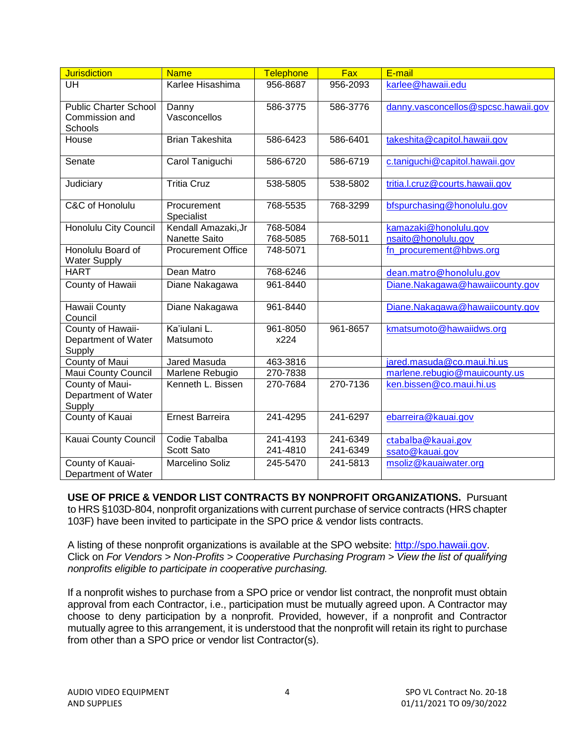<span id="page-3-0"></span>

| <b>Jurisdiction</b>          | <b>Name</b>               | Telephone | Fax      | E-mail                              |
|------------------------------|---------------------------|-----------|----------|-------------------------------------|
| <b>UH</b>                    | Karlee Hisashima          | 956-8687  | 956-2093 | karlee@hawaii.edu                   |
|                              |                           |           |          |                                     |
| <b>Public Charter School</b> | Danny                     | 586-3775  | 586-3776 | danny.vasconcellos@spcsc.hawaii.gov |
| Commission and<br>Schools    | Vasconcellos              |           |          |                                     |
| House                        | <b>Brian Takeshita</b>    | 586-6423  | 586-6401 | takeshita@capitol.hawaii.gov        |
|                              |                           |           |          |                                     |
| Senate                       | Carol Taniguchi           | 586-6720  | 586-6719 | c.taniquchi@capitol.hawaii.gov      |
|                              |                           |           |          |                                     |
| Judiciary                    | <b>Tritia Cruz</b>        | 538-5805  | 538-5802 | tritia.l.cruz@courts.hawaii.gov     |
| C&C of Honolulu              | Procurement               | 768-5535  | 768-3299 | bfspurchasing@honolulu.gov          |
|                              | Specialist                |           |          |                                     |
| Honolulu City Council        | Kendall Amazaki, Jr       | 768-5084  |          | kamazaki@honolulu.gov               |
|                              | Nanette Saito             | 768-5085  | 768-5011 | nsaito@honolulu.gov                 |
| Honolulu Board of            | <b>Procurement Office</b> | 748-5071  |          | fn_procurement@hbws.org             |
| <b>Water Supply</b>          |                           |           |          |                                     |
| <b>HART</b>                  | Dean Matro                | 768-6246  |          | dean.matro@honolulu.gov             |
| County of Hawaii             | Diane Nakagawa            | 961-8440  |          | Diane.Nakagawa@hawaiicounty.gov     |
| Hawaii County                | Diane Nakagawa            | 961-8440  |          | Diane.Nakagawa@hawaiicounty.gov     |
| Council                      |                           |           |          |                                     |
| County of Hawaii-            | Ka'iulani L.              | 961-8050  | 961-8657 | kmatsumoto@hawaiidws.org            |
| Department of Water          | Matsumoto                 | x224      |          |                                     |
| Supply                       |                           |           |          |                                     |
| <b>County of Maui</b>        | Jared Masuda              | 463-3816  |          | jared.masuda@co.maui.hi.us          |
| Maui County Council          | Marlene Rebugio           | 270-7838  |          | marlene.rebugio@mauicounty.us       |
| County of Maui-              | Kenneth L. Bissen         | 270-7684  | 270-7136 | ken.bissen@co.maui.hi.us            |
| Department of Water          |                           |           |          |                                     |
| Supply<br>County of Kauai    | <b>Ernest Barreira</b>    | 241-4295  | 241-6297 | ebarreira@kauai.gov                 |
|                              |                           |           |          |                                     |
| Kauai County Council         | Codie Tabalba             | 241-4193  | 241-6349 | ctabalba@kauai.gov                  |
|                              | Scott Sato                | 241-4810  | 241-6349 | ssato@kauai.gov                     |
| County of Kauai-             | Marcelino Soliz           | 245-5470  | 241-5813 | msoliz@kauaiwater.org               |
| Department of Water          |                           |           |          |                                     |

**USE OF PRICE & VENDOR LIST CONTRACTS BY NONPROFIT ORGANIZATIONS.** Pursuant to HRS §103D-804, nonprofit organizations with current purchase of service contracts (HRS chapter 103F) have been invited to participate in the SPO price & vendor lists contracts.

A listing of these nonprofit organizations is available at the SPO website: [http://spo.hawaii.gov.](http://spo.hawaii.gov/) Click on *For Vendors > Non-Profits > Cooperative Purchasing Program > View the list of qualifying nonprofits eligible to participate in cooperative purchasing.*

If a nonprofit wishes to purchase from a SPO price or vendor list contract, the nonprofit must obtain approval from each Contractor, i.e., participation must be mutually agreed upon. A Contractor may choose to deny participation by a nonprofit. Provided, however, if a nonprofit and Contractor mutually agree to this arrangement, it is understood that the nonprofit will retain its right to purchase from other than a SPO price or vendor list Contractor(s).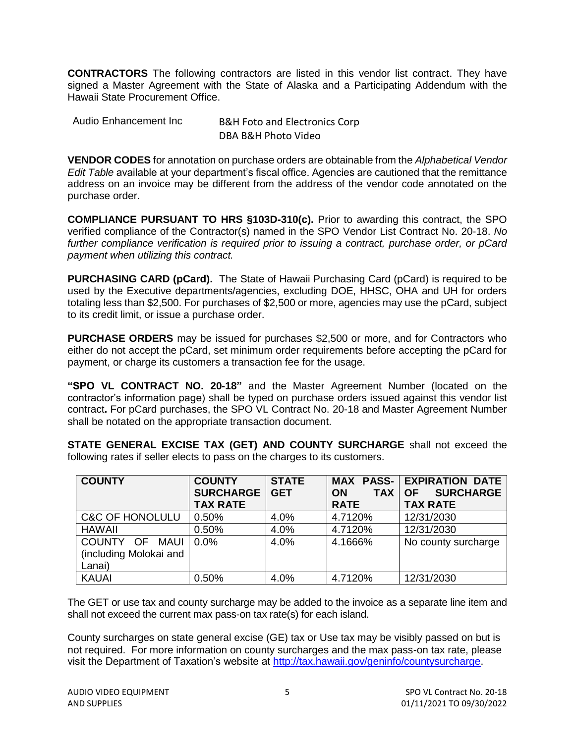<span id="page-4-0"></span>**CONTRACTORS** The following contractors are listed in this vendor list contract. They have signed a Master Agreement with the State of Alaska and a Participating Addendum with the Hawaii State Procurement Office.

| Audio Enhancement Inc | <b>B&amp;H Foto and Electronics Corp</b> |
|-----------------------|------------------------------------------|
|                       | DBA B&H Photo Video                      |

**VENDOR CODES** for annotation on purchase orders are obtainable from the *Alphabetical Vendor Edit Table* available at your department's fiscal office. Agencies are cautioned that the remittance address on an invoice may be different from the address of the vendor code annotated on the purchase order.

**COMPLIANCE PURSUANT TO HRS §103D-310(c).** Prior to awarding this contract, the SPO verified compliance of the Contractor(s) named in the SPO Vendor List Contract No. 20-18. *No further compliance verification is required prior to issuing a contract, purchase order, or pCard payment when utilizing this contract.*

**PURCHASING CARD (pCard).** The State of Hawaii Purchasing Card (pCard) is required to be used by the Executive departments/agencies, excluding DOE, HHSC, OHA and UH for orders totaling less than \$2,500. For purchases of \$2,500 or more, agencies may use the pCard, subject to its credit limit, or issue a purchase order.

**PURCHASE ORDERS** may be issued for purchases \$2,500 or more, and for Contractors who either do not accept the pCard, set minimum order requirements before accepting the pCard for payment, or charge its customers a transaction fee for the usage.

**"SPO VL CONTRACT NO. 20-18"** and the Master Agreement Number (located on the contractor's information page) shall be typed on purchase orders issued against this vendor list contract**.** For pCard purchases, the SPO VL Contract No. 20-18 and Master Agreement Number shall be notated on the appropriate transaction document.

**STATE GENERAL EXCISE TAX (GET) AND COUNTY SURCHARGE** shall not exceed the following rates if seller elects to pass on the charges to its customers.

| <b>COUNTY</b>              | <b>COUNTY</b>    | <b>STATE</b> |                         | <b>MAX PASS- EXPIRATION DATE</b> |
|----------------------------|------------------|--------------|-------------------------|----------------------------------|
|                            | <b>SURCHARGE</b> | <b>GET</b>   | <b>TAX</b><br><b>ON</b> | <b>SURCHARGE</b><br><b>OF</b>    |
|                            | <b>TAX RATE</b>  |              | <b>RATE</b>             | <b>TAX RATE</b>                  |
| <b>C&amp;C OF HONOLULU</b> | 0.50%            | 4.0%         | 4.7120%                 | 12/31/2030                       |
| <b>HAWAII</b>              | 0.50%            | 4.0%         | 4.7120%                 | 12/31/2030                       |
| COUNTY OF MAUI             | $0.0\%$          | 4.0%         | 4.1666%                 | No county surcharge              |
| (including Molokai and     |                  |              |                         |                                  |
| Lanai)                     |                  |              |                         |                                  |
| <b>KAUAI</b>               | 0.50%            | 4.0%         | 4.7120%                 | 12/31/2030                       |

The GET or use tax and county surcharge may be added to the invoice as a separate line item and shall not exceed the current max pass-on tax rate(s) for each island.

County surcharges on state general excise (GE) tax or Use tax may be visibly passed on but is not required. For more information on county surcharges and the max pass-on tax rate, please visit the Department of Taxation's website at [http://tax.hawaii.gov/geninfo/countysurcharge.](http://tax.hawaii.gov/geninfo/countysurcharge)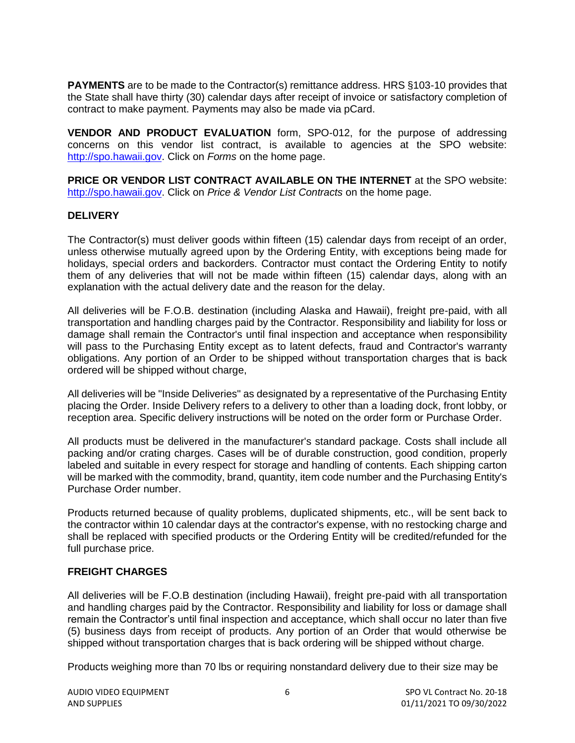<span id="page-5-0"></span>**PAYMENTS** are to be made to the Contractor(s) remittance address. HRS §103-10 provides that the State shall have thirty (30) calendar days after receipt of invoice or satisfactory completion of contract to make payment. Payments may also be made via pCard.

**VENDOR AND PRODUCT EVALUATION** form, SPO-012, for the purpose of addressing concerns on this vendor list contract, is available to agencies at the SPO website: [http://spo.hawaii.gov.](http://spo.hawaii.gov/) Click on *Forms* on the home page.

**PRICE OR VENDOR LIST CONTRACT AVAILABLE ON THE INTERNET** at the SPO website: [http://spo.hawaii.gov.](http://spo.hawaii.gov/) Click on *Price & Vendor List Contracts* on the home page.

#### **DELIVERY**

The Contractor(s) must deliver goods within fifteen (15) calendar days from receipt of an order, unless otherwise mutually agreed upon by the Ordering Entity, with exceptions being made for holidays, special orders and backorders. Contractor must contact the Ordering Entity to notify them of any deliveries that will not be made within fifteen (15) calendar days, along with an explanation with the actual delivery date and the reason for the delay.

All deliveries will be F.O.B. destination (including Alaska and Hawaii), freight pre-paid, with all transportation and handling charges paid by the Contractor. Responsibility and liability for loss or damage shall remain the Contractor's until final inspection and acceptance when responsibility will pass to the Purchasing Entity except as to latent defects, fraud and Contractor's warranty obligations. Any portion of an Order to be shipped without transportation charges that is back ordered will be shipped without charge,

All deliveries will be "Inside Deliveries" as designated by a representative of the Purchasing Entity placing the Order. Inside Delivery refers to a delivery to other than a loading dock, front lobby, or reception area. Specific delivery instructions will be noted on the order form or Purchase Order.

All products must be delivered in the manufacturer's standard package. Costs shall include all packing and/or crating charges. Cases will be of durable construction, good condition, properly labeled and suitable in every respect for storage and handling of contents. Each shipping carton will be marked with the commodity, brand, quantity, item code number and the Purchasing Entity's Purchase Order number.

Products returned because of quality problems, duplicated shipments, etc., will be sent back to the contractor within 10 calendar days at the contractor's expense, with no restocking charge and shall be replaced with specified products or the Ordering Entity will be credited/refunded for the full purchase price.

#### **FREIGHT CHARGES**

All deliveries will be F.O.B destination (including Hawaii), freight pre-paid with all transportation and handling charges paid by the Contractor. Responsibility and liability for loss or damage shall remain the Contractor's until final inspection and acceptance, which shall occur no later than five (5) business days from receipt of products. Any portion of an Order that would otherwise be shipped without transportation charges that is back ordering will be shipped without charge.

Products weighing more than 70 lbs or requiring nonstandard delivery due to their size may be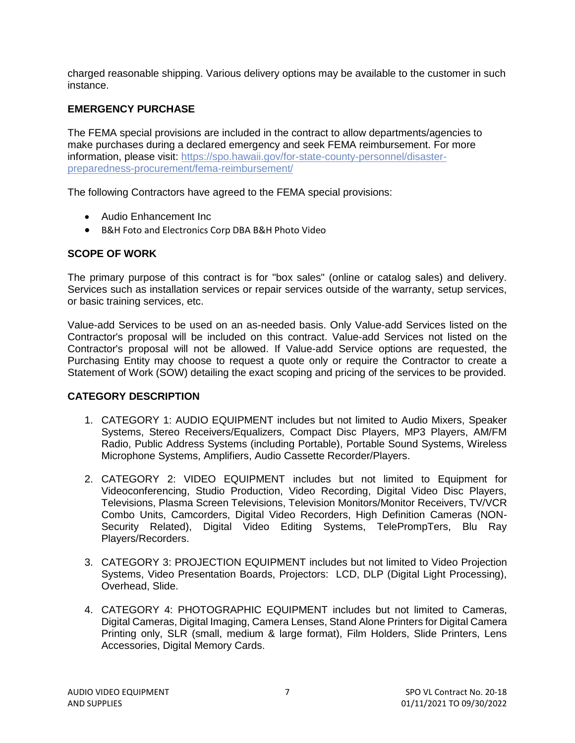<span id="page-6-0"></span>charged reasonable shipping. Various delivery options may be available to the customer in such instance.

# **EMERGENCY PURCHASE**

The FEMA special provisions are included in the contract to allow departments/agencies to make purchases during a declared emergency and seek FEMA reimbursement. For more information, please visit: [https://spo.hawaii.gov/for-state-county-personnel/disaster](https://spo.hawaii.gov/for-state-county-personnel/disaster-preparedness-procurement/fema-reimbursement/)[preparedness-procurement/fema-reimbursement/](https://spo.hawaii.gov/for-state-county-personnel/disaster-preparedness-procurement/fema-reimbursement/)

The following Contractors have agreed to the FEMA special provisions:

- Audio Enhancement Inc
- B&H Foto and Electronics Corp DBA B&H Photo Video

# **SCOPE OF WORK**

The primary purpose of this contract is for "box sales" (online or catalog sales) and delivery. Services such as installation services or repair services outside of the warranty, setup services, or basic training services, etc.

Value-add Services to be used on an as-needed basis. Only Value-add Services listed on the Contractor's proposal will be included on this contract. Value-add Services not listed on the Contractor's proposal will not be allowed. If Value-add Service options are requested, the Purchasing Entity may choose to request a quote only or require the Contractor to create a Statement of Work (SOW) detailing the exact scoping and pricing of the services to be provided.

# **CATEGORY DESCRIPTION**

- 1. CATEGORY 1: AUDIO EQUIPMENT includes but not limited to Audio Mixers, Speaker Systems, Stereo Receivers/Equalizers, Compact Disc Players, MP3 Players, AM/FM Radio, Public Address Systems (including Portable), Portable Sound Systems, Wireless Microphone Systems, Amplifiers, Audio Cassette Recorder/Players.
- 2. CATEGORY 2: VIDEO EQUIPMENT includes but not limited to Equipment for Videoconferencing, Studio Production, Video Recording, Digital Video Disc Players, Televisions, Plasma Screen Televisions, Television Monitors/Monitor Receivers, TV/VCR Combo Units, Camcorders, Digital Video Recorders, High Definition Cameras (NON-Security Related), Digital Video Editing Systems, TelePrompTers, Blu Ray Players/Recorders.
- 3. CATEGORY 3: PROJECTION EQUIPMENT includes but not limited to Video Projection Systems, Video Presentation Boards, Projectors: LCD, DLP (Digital Light Processing), Overhead, Slide.
- 4. CATEGORY 4: PHOTOGRAPHIC EQUIPMENT includes but not limited to Cameras, Digital Cameras, Digital Imaging, Camera Lenses, Stand Alone Printers for Digital Camera Printing only, SLR (small, medium & large format), Film Holders, Slide Printers, Lens Accessories, Digital Memory Cards.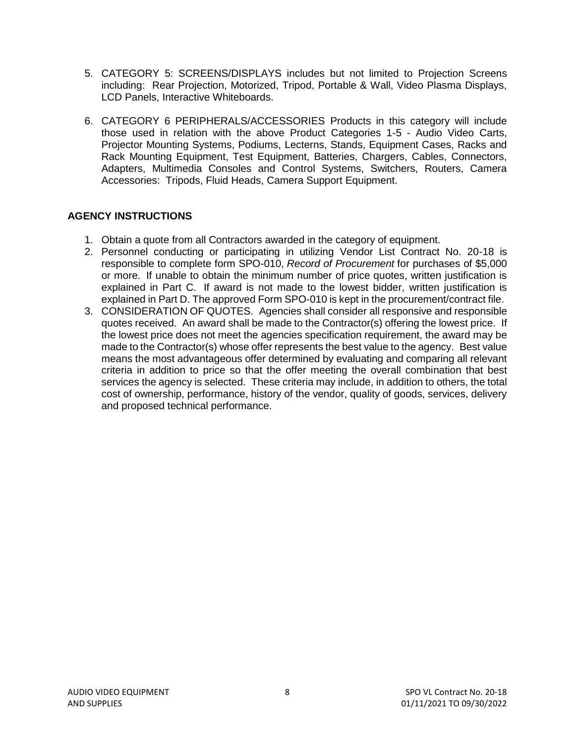- <span id="page-7-0"></span>5. CATEGORY 5: SCREENS/DISPLAYS includes but not limited to Projection Screens including: Rear Projection, Motorized, Tripod, Portable & Wall, Video Plasma Displays, LCD Panels, Interactive Whiteboards.
- 6. CATEGORY 6 PERIPHERALS/ACCESSORIES Products in this category will include those used in relation with the above Product Categories 1-5 - Audio Video Carts, Projector Mounting Systems, Podiums, Lecterns, Stands, Equipment Cases, Racks and Rack Mounting Equipment, Test Equipment, Batteries, Chargers, Cables, Connectors, Adapters, Multimedia Consoles and Control Systems, Switchers, Routers, Camera Accessories: Tripods, Fluid Heads, Camera Support Equipment.

# **AGENCY INSTRUCTIONS**

- 1. Obtain a quote from all Contractors awarded in the category of equipment.
- 2. Personnel conducting or participating in utilizing Vendor List Contract No. 20-18 is responsible to complete form SPO-010, *Record of Procurement* for purchases of \$5,000 or more.If unable to obtain the minimum number of price quotes, written justification is explained in Part C. If award is not made to the lowest bidder, written justification is explained in Part D. The approved Form SPO-010 is kept in the procurement/contract file.
- 3. CONSIDERATION OF QUOTES. Agencies shall consider all responsive and responsible quotes received. An award shall be made to the Contractor(s) offering the lowest price. If the lowest price does not meet the agencies specification requirement, the award may be made to the Contractor(s) whose offer represents the best value to the agency. Best value means the most advantageous offer determined by evaluating and comparing all relevant criteria in addition to price so that the offer meeting the overall combination that best services the agency is selected. These criteria may include, in addition to others, the total cost of ownership, performance, history of the vendor, quality of goods, services, delivery and proposed technical performance.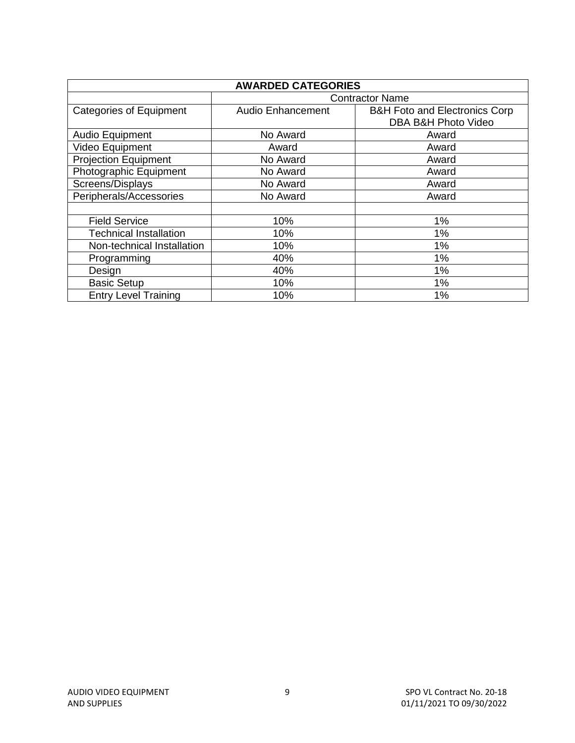<span id="page-8-0"></span>

| <b>AWARDED CATEGORIES</b>      |                          |                                                                 |  |
|--------------------------------|--------------------------|-----------------------------------------------------------------|--|
|                                |                          | <b>Contractor Name</b>                                          |  |
| <b>Categories of Equipment</b> | <b>Audio Enhancement</b> | <b>B&amp;H Foto and Electronics Corp</b><br>DBA B&H Photo Video |  |
| Audio Equipment                | No Award                 | Award                                                           |  |
| Video Equipment                | Award                    | Award                                                           |  |
| <b>Projection Equipment</b>    | No Award                 | Award                                                           |  |
| Photographic Equipment         | No Award                 | Award                                                           |  |
| Screens/Displays               | No Award                 | Award                                                           |  |
| Peripherals/Accessories        | No Award                 | Award                                                           |  |
|                                |                          |                                                                 |  |
| <b>Field Service</b>           | 10%                      | 1%                                                              |  |
| <b>Technical Installation</b>  | 10%                      | 1%                                                              |  |
| Non-technical Installation     | 10%                      | 1%                                                              |  |
| Programming                    | 40%                      | 1%                                                              |  |
| Design                         | 40%                      | 1%                                                              |  |
| <b>Basic Setup</b>             | 10%                      | 1%                                                              |  |
| <b>Entry Level Training</b>    | 10%                      | 1%                                                              |  |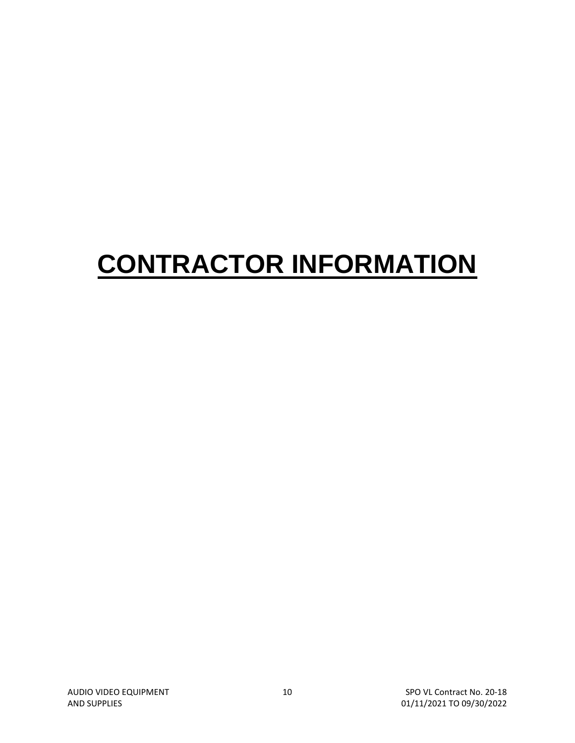# **CONTRACTOR INFORMATION**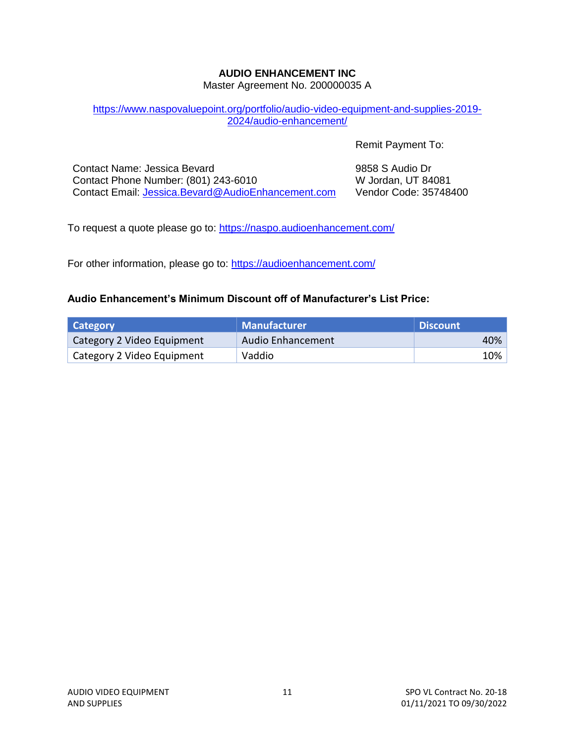# **AUDIO ENHANCEMENT INC**

Master Agreement No. 200000035 A

#### <span id="page-10-0"></span>[https://www.naspovaluepoint.org/portfolio/audio-video-equipment-and-supplies-2019-](https://www.naspovaluepoint.org/portfolio/audio-video-equipment-and-supplies-2019-2024/audio-enhancement/) [2024/audio-enhancement/](https://www.naspovaluepoint.org/portfolio/audio-video-equipment-and-supplies-2019-2024/audio-enhancement/)

Remit Payment To:

Contact Name: Jessica Bevard Contact Phone Number: (801) 243-6010 Contact Email: [Jessica.Bevard@AudioEnhancement.com](mailto:Jessica.Bevard@AudioEnhancement.com) 9858 S Audio Dr W Jordan, UT 84081 Vendor Code: 35748400

To request a quote please go to: [https://naspo.audioenhancement.com/](https://urldefense.com/v3/__https:/naspo.audioenhancement.com/__;!!LIYSdFfckKA!lDU3pV13Mu4HiWVbG20S-tLnwffk22Tqokg_s6XWghMJioTl3u2LPBn4SU9twbe2FQLz3a5A$)

For other information, please go to: [https://audioenhancement.com/](https://urldefense.com/v3/__https:/audioenhancement.com/__;!!LIYSdFfckKA!lDU3pV13Mu4HiWVbG20S-tLnwffk22Tqokg_s6XWghMJioTl3u2LPBn4SU9twbe2FUsVFV4f$)

#### **Audio Enhancement's Minimum Discount off of Manufacturer's List Price:**

| Category                   | <b>Manufacturer</b> | <b>Discount</b> |
|----------------------------|---------------------|-----------------|
| Category 2 Video Equipment | Audio Enhancement   | 40%             |
| Category 2 Video Equipment | Vaddio              | 10%             |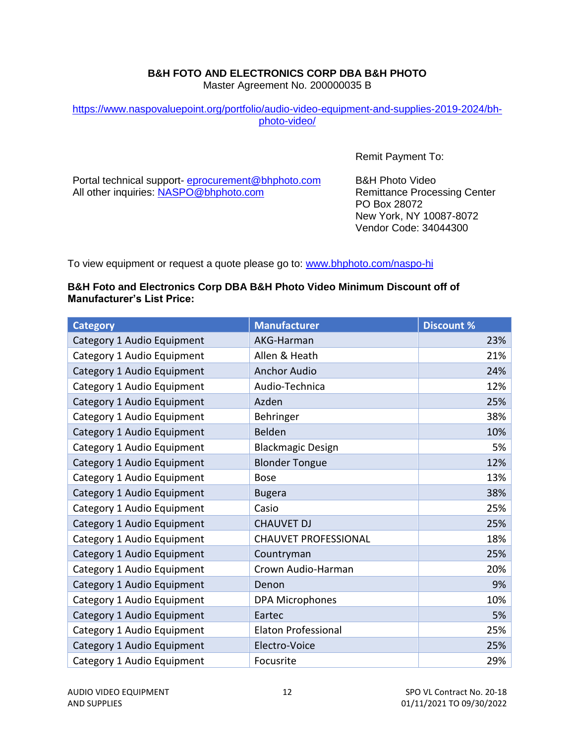# **B&H FOTO AND ELECTRONICS CORP DBA B&H PHOTO**

Master Agreement No. 200000035 B

#### <span id="page-11-0"></span>[https://www.naspovaluepoint.org/portfolio/audio-video-equipment-and-supplies-2019-2024/bh](https://www.naspovaluepoint.org/portfolio/audio-video-equipment-and-supplies-2019-2024/bh-photo-video/)[photo-video/](https://www.naspovaluepoint.org/portfolio/audio-video-equipment-and-supplies-2019-2024/bh-photo-video/)

Remit Payment To:

Portal technical support- [eprocurement@bhphoto.com](mailto:eprocurement@bhphoto.com) All other inquiries: [NASPO@bhphoto.com](mailto:NASPO@bhphoto.com)

B&H Photo Video Remittance Processing Center PO Box 28072 New York, NY 10087-8072 Vendor Code: 34044300

To view equipment or request a quote please go to: [www.bhphoto.com/naspo-hi](https://urldefense.com/v3/__http:/www.bhphoto.com/naspo-hi__;!!LIYSdFfckKA!hm6vmfcec6aXrxleK4kORIqd5IoJIMOeQ06w51LlKptUq4oLWGaggoxEkQ4Ogp0YfnoYsTqG$)

#### **B&H Foto and Electronics Corp DBA B&H Photo Video Minimum Discount off of Manufacturer's List Price:**

| <b>Category</b>            | <b>Manufacturer</b>         | <b>Discount %</b> |
|----------------------------|-----------------------------|-------------------|
| Category 1 Audio Equipment | AKG-Harman                  | 23%               |
| Category 1 Audio Equipment | Allen & Heath               | 21%               |
| Category 1 Audio Equipment | <b>Anchor Audio</b>         | 24%               |
| Category 1 Audio Equipment | Audio-Technica              | 12%               |
| Category 1 Audio Equipment | Azden                       | 25%               |
| Category 1 Audio Equipment | Behringer                   | 38%               |
| Category 1 Audio Equipment | Belden                      | 10%               |
| Category 1 Audio Equipment | <b>Blackmagic Design</b>    | 5%                |
| Category 1 Audio Equipment | <b>Blonder Tongue</b>       | 12%               |
| Category 1 Audio Equipment | <b>Bose</b>                 | 13%               |
| Category 1 Audio Equipment | <b>Bugera</b>               | 38%               |
| Category 1 Audio Equipment | Casio                       | 25%               |
| Category 1 Audio Equipment | <b>CHAUVET DJ</b>           | 25%               |
| Category 1 Audio Equipment | <b>CHAUVET PROFESSIONAL</b> | 18%               |
| Category 1 Audio Equipment | Countryman                  | 25%               |
| Category 1 Audio Equipment | Crown Audio-Harman          | 20%               |
| Category 1 Audio Equipment | Denon                       | 9%                |
| Category 1 Audio Equipment | <b>DPA Microphones</b>      | 10%               |
| Category 1 Audio Equipment | Eartec                      | 5%                |
| Category 1 Audio Equipment | <b>Elaton Professional</b>  | 25%               |
| Category 1 Audio Equipment | Electro-Voice               | 25%               |
| Category 1 Audio Equipment | Focusrite                   | 29%               |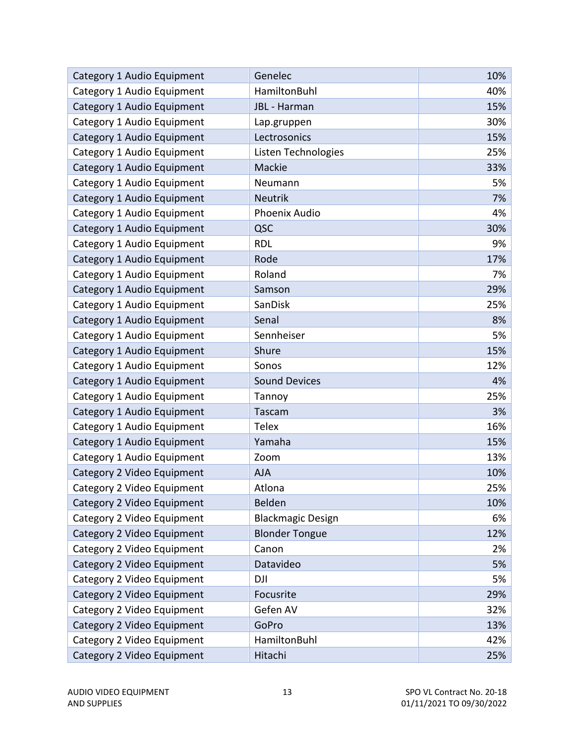| Category 1 Audio Equipment | Genelec                  | 10% |
|----------------------------|--------------------------|-----|
| Category 1 Audio Equipment | HamiltonBuhl             | 40% |
| Category 1 Audio Equipment | JBL - Harman             | 15% |
| Category 1 Audio Equipment | Lap.gruppen              | 30% |
| Category 1 Audio Equipment | Lectrosonics             | 15% |
| Category 1 Audio Equipment | Listen Technologies      | 25% |
| Category 1 Audio Equipment | Mackie                   | 33% |
| Category 1 Audio Equipment | Neumann                  | 5%  |
| Category 1 Audio Equipment | <b>Neutrik</b>           | 7%  |
| Category 1 Audio Equipment | Phoenix Audio            | 4%  |
| Category 1 Audio Equipment | QSC                      | 30% |
| Category 1 Audio Equipment | <b>RDL</b>               | 9%  |
| Category 1 Audio Equipment | Rode                     | 17% |
| Category 1 Audio Equipment | Roland                   | 7%  |
| Category 1 Audio Equipment | Samson                   | 29% |
| Category 1 Audio Equipment | SanDisk                  | 25% |
| Category 1 Audio Equipment | Senal                    | 8%  |
| Category 1 Audio Equipment | Sennheiser               | 5%  |
| Category 1 Audio Equipment | Shure                    | 15% |
| Category 1 Audio Equipment | Sonos                    | 12% |
| Category 1 Audio Equipment | <b>Sound Devices</b>     | 4%  |
| Category 1 Audio Equipment | Tannoy                   | 25% |
| Category 1 Audio Equipment | Tascam                   | 3%  |
| Category 1 Audio Equipment | <b>Telex</b>             | 16% |
| Category 1 Audio Equipment | Yamaha                   | 15% |
| Category 1 Audio Equipment | Zoom                     | 13% |
| Category 2 Video Equipment | <b>AJA</b>               | 10% |
| Category 2 Video Equipment | Atlona                   | 25% |
| Category 2 Video Equipment | Belden                   | 10% |
| Category 2 Video Equipment | <b>Blackmagic Design</b> | 6%  |
| Category 2 Video Equipment | <b>Blonder Tongue</b>    | 12% |
| Category 2 Video Equipment | Canon                    | 2%  |
| Category 2 Video Equipment | Datavideo                | 5%  |
| Category 2 Video Equipment | DJI                      | 5%  |
| Category 2 Video Equipment | Focusrite                | 29% |
| Category 2 Video Equipment | Gefen AV                 | 32% |
| Category 2 Video Equipment | GoPro                    | 13% |
| Category 2 Video Equipment | HamiltonBuhl             | 42% |
| Category 2 Video Equipment | Hitachi                  | 25% |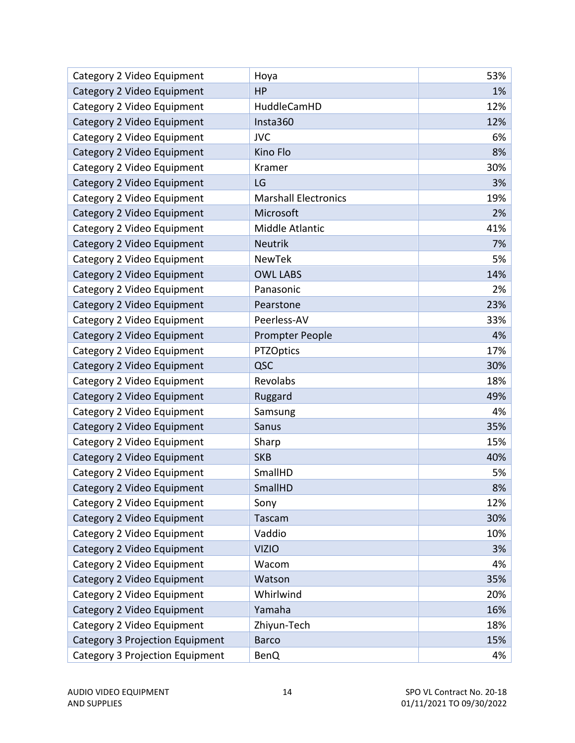| Category 2 Video Equipment      | Hoya                        | 53% |
|---------------------------------|-----------------------------|-----|
| Category 2 Video Equipment      | HP                          | 1%  |
| Category 2 Video Equipment      | HuddleCamHD                 | 12% |
| Category 2 Video Equipment      | Insta360                    | 12% |
| Category 2 Video Equipment      | <b>JVC</b>                  | 6%  |
| Category 2 Video Equipment      | Kino Flo                    | 8%  |
| Category 2 Video Equipment      | Kramer                      | 30% |
| Category 2 Video Equipment      | LG                          | 3%  |
| Category 2 Video Equipment      | <b>Marshall Electronics</b> | 19% |
| Category 2 Video Equipment      | Microsoft                   | 2%  |
| Category 2 Video Equipment      | Middle Atlantic             | 41% |
| Category 2 Video Equipment      | <b>Neutrik</b>              | 7%  |
| Category 2 Video Equipment      | <b>NewTek</b>               | 5%  |
| Category 2 Video Equipment      | <b>OWL LABS</b>             | 14% |
| Category 2 Video Equipment      | Panasonic                   | 2%  |
| Category 2 Video Equipment      | Pearstone                   | 23% |
| Category 2 Video Equipment      | Peerless-AV                 | 33% |
| Category 2 Video Equipment      | Prompter People             | 4%  |
| Category 2 Video Equipment      | <b>PTZOptics</b>            | 17% |
| Category 2 Video Equipment      | QSC                         | 30% |
| Category 2 Video Equipment      | Revolabs                    | 18% |
| Category 2 Video Equipment      | Ruggard                     | 49% |
| Category 2 Video Equipment      | Samsung                     | 4%  |
| Category 2 Video Equipment      | Sanus                       | 35% |
| Category 2 Video Equipment      | Sharp                       | 15% |
| Category 2 Video Equipment      | <b>SKB</b>                  | 40% |
| Category 2 Video Equipment      | SmallHD                     | 5%  |
| Category 2 Video Equipment      | SmallHD                     | 8%  |
| Category 2 Video Equipment      | Sony                        | 12% |
| Category 2 Video Equipment      | Tascam                      | 30% |
| Category 2 Video Equipment      | Vaddio                      | 10% |
| Category 2 Video Equipment      | <b>VIZIO</b>                | 3%  |
| Category 2 Video Equipment      | Wacom                       | 4%  |
| Category 2 Video Equipment      | Watson                      | 35% |
| Category 2 Video Equipment      | Whirlwind                   | 20% |
| Category 2 Video Equipment      | Yamaha                      | 16% |
| Category 2 Video Equipment      | Zhiyun-Tech                 | 18% |
| Category 3 Projection Equipment | <b>Barco</b>                | 15% |
| Category 3 Projection Equipment | <b>BenQ</b>                 | 4%  |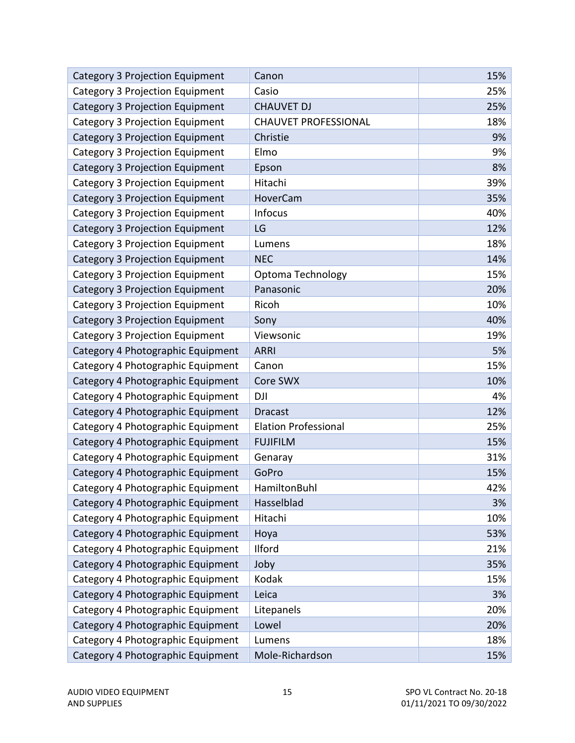| Category 3 Projection Equipment   | Canon                       | 15% |
|-----------------------------------|-----------------------------|-----|
| Category 3 Projection Equipment   | Casio                       | 25% |
| Category 3 Projection Equipment   | <b>CHAUVET DJ</b>           | 25% |
| Category 3 Projection Equipment   | <b>CHAUVET PROFESSIONAL</b> | 18% |
| Category 3 Projection Equipment   | Christie                    | 9%  |
| Category 3 Projection Equipment   | Elmo                        | 9%  |
| Category 3 Projection Equipment   | Epson                       | 8%  |
| Category 3 Projection Equipment   | Hitachi                     | 39% |
| Category 3 Projection Equipment   | HoverCam                    | 35% |
| Category 3 Projection Equipment   | <b>Infocus</b>              | 40% |
| Category 3 Projection Equipment   | LG                          | 12% |
| Category 3 Projection Equipment   | Lumens                      | 18% |
| Category 3 Projection Equipment   | <b>NEC</b>                  | 14% |
| Category 3 Projection Equipment   | Optoma Technology           | 15% |
| Category 3 Projection Equipment   | Panasonic                   | 20% |
| Category 3 Projection Equipment   | Ricoh                       | 10% |
| Category 3 Projection Equipment   | Sony                        | 40% |
| Category 3 Projection Equipment   | Viewsonic                   | 19% |
| Category 4 Photographic Equipment | <b>ARRI</b>                 | 5%  |
| Category 4 Photographic Equipment | Canon                       | 15% |
| Category 4 Photographic Equipment | Core SWX                    | 10% |
| Category 4 Photographic Equipment | <b>DJI</b>                  | 4%  |
| Category 4 Photographic Equipment | <b>Dracast</b>              | 12% |
| Category 4 Photographic Equipment | <b>Elation Professional</b> | 25% |
| Category 4 Photographic Equipment | <b>FUJIFILM</b>             | 15% |
| Category 4 Photographic Equipment | Genaray                     | 31% |
| Category 4 Photographic Equipment | GoPro                       | 15% |
| Category 4 Photographic Equipment | HamiltonBuhl                | 42% |
| Category 4 Photographic Equipment | Hasselblad                  | 3%  |
| Category 4 Photographic Equipment | Hitachi                     | 10% |
| Category 4 Photographic Equipment | Hoya                        | 53% |
| Category 4 Photographic Equipment | Ilford                      | 21% |
| Category 4 Photographic Equipment | Joby                        | 35% |
| Category 4 Photographic Equipment | Kodak                       | 15% |
| Category 4 Photographic Equipment | Leica                       | 3%  |
| Category 4 Photographic Equipment | Litepanels                  | 20% |
| Category 4 Photographic Equipment | Lowel                       | 20% |
| Category 4 Photographic Equipment | Lumens                      | 18% |
| Category 4 Photographic Equipment | Mole-Richardson             | 15% |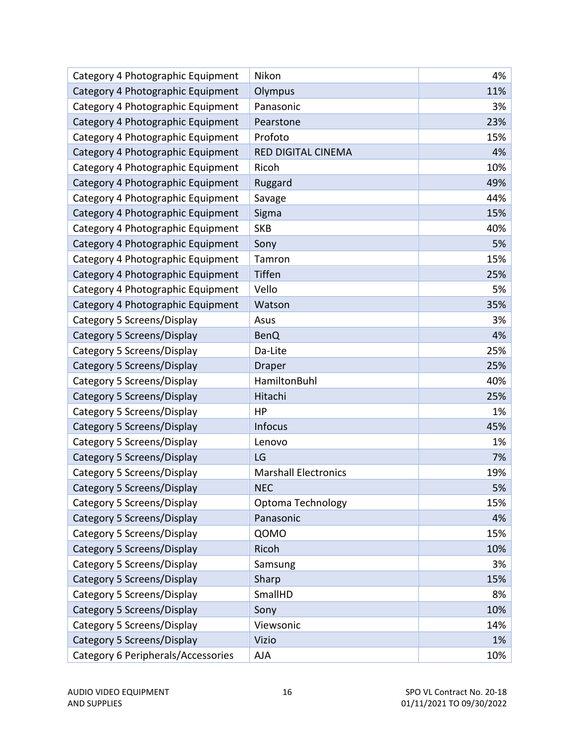| Category 4 Photographic Equipment  | Nikon                       | 4%  |
|------------------------------------|-----------------------------|-----|
| Category 4 Photographic Equipment  | Olympus                     | 11% |
| Category 4 Photographic Equipment  | Panasonic                   | 3%  |
| Category 4 Photographic Equipment  | Pearstone                   | 23% |
| Category 4 Photographic Equipment  | Profoto                     | 15% |
| Category 4 Photographic Equipment  | <b>RED DIGITAL CINEMA</b>   | 4%  |
| Category 4 Photographic Equipment  | Ricoh                       | 10% |
| Category 4 Photographic Equipment  | Ruggard                     | 49% |
| Category 4 Photographic Equipment  | Savage                      | 44% |
| Category 4 Photographic Equipment  | Sigma                       | 15% |
| Category 4 Photographic Equipment  | <b>SKB</b>                  | 40% |
| Category 4 Photographic Equipment  | Sony                        | 5%  |
| Category 4 Photographic Equipment  | Tamron                      | 15% |
| Category 4 Photographic Equipment  | <b>Tiffen</b>               | 25% |
| Category 4 Photographic Equipment  | Vello                       | 5%  |
| Category 4 Photographic Equipment  | Watson                      | 35% |
| Category 5 Screens/Display         | Asus                        | 3%  |
| Category 5 Screens/Display         | <b>BenQ</b>                 | 4%  |
| Category 5 Screens/Display         | Da-Lite                     | 25% |
| Category 5 Screens/Display         | <b>Draper</b>               | 25% |
| Category 5 Screens/Display         | HamiltonBuhl                | 40% |
| Category 5 Screens/Display         | Hitachi                     | 25% |
| Category 5 Screens/Display         | HP                          | 1%  |
| Category 5 Screens/Display         | <b>Infocus</b>              | 45% |
| Category 5 Screens/Display         | Lenovo                      | 1%  |
| Category 5 Screens/Display         | LG                          | 7%  |
| Category 5 Screens/Display         | <b>Marshall Electronics</b> | 19% |
| Category 5 Screens/Display         | <b>NEC</b>                  | 5%  |
| Category 5 Screens/Display         | Optoma Technology           | 15% |
| Category 5 Screens/Display         | Panasonic                   | 4%  |
| Category 5 Screens/Display         | QOMO                        | 15% |
| Category 5 Screens/Display         | Ricoh                       | 10% |
| Category 5 Screens/Display         | Samsung                     | 3%  |
| Category 5 Screens/Display         | Sharp                       | 15% |
| Category 5 Screens/Display         | SmallHD                     | 8%  |
| Category 5 Screens/Display         | Sony                        | 10% |
| Category 5 Screens/Display         | Viewsonic                   | 14% |
| Category 5 Screens/Display         | Vizio                       | 1%  |
| Category 6 Peripherals/Accessories | AJA                         | 10% |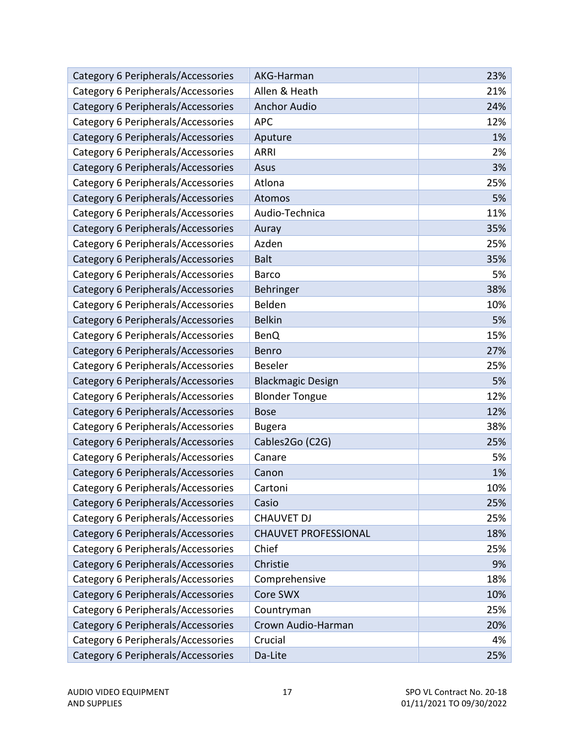| Category 6 Peripherals/Accessories | AKG-Harman                  | 23% |
|------------------------------------|-----------------------------|-----|
| Category 6 Peripherals/Accessories | Allen & Heath               | 21% |
| Category 6 Peripherals/Accessories | <b>Anchor Audio</b>         | 24% |
| Category 6 Peripherals/Accessories | <b>APC</b>                  | 12% |
| Category 6 Peripherals/Accessories | Aputure                     | 1%  |
| Category 6 Peripherals/Accessories | <b>ARRI</b>                 | 2%  |
| Category 6 Peripherals/Accessories | Asus                        | 3%  |
| Category 6 Peripherals/Accessories | Atlona                      | 25% |
| Category 6 Peripherals/Accessories | <b>Atomos</b>               | 5%  |
| Category 6 Peripherals/Accessories | Audio-Technica              | 11% |
| Category 6 Peripherals/Accessories | Auray                       | 35% |
| Category 6 Peripherals/Accessories | Azden                       | 25% |
| Category 6 Peripherals/Accessories | <b>Balt</b>                 | 35% |
| Category 6 Peripherals/Accessories | <b>Barco</b>                | 5%  |
| Category 6 Peripherals/Accessories | Behringer                   | 38% |
| Category 6 Peripherals/Accessories | Belden                      | 10% |
| Category 6 Peripherals/Accessories | <b>Belkin</b>               | 5%  |
| Category 6 Peripherals/Accessories | <b>BenQ</b>                 | 15% |
| Category 6 Peripherals/Accessories | Benro                       | 27% |
| Category 6 Peripherals/Accessories | <b>Beseler</b>              | 25% |
| Category 6 Peripherals/Accessories | <b>Blackmagic Design</b>    | 5%  |
| Category 6 Peripherals/Accessories | <b>Blonder Tongue</b>       | 12% |
| Category 6 Peripherals/Accessories | <b>Bose</b>                 | 12% |
| Category 6 Peripherals/Accessories | <b>Bugera</b>               | 38% |
| Category 6 Peripherals/Accessories | Cables2Go (C2G)             | 25% |
| Category 6 Peripherals/Accessories | Canare                      | 5%  |
| Category 6 Peripherals/Accessories | Canon                       | 1%  |
| Category 6 Peripherals/Accessories | Cartoni                     | 10% |
| Category 6 Peripherals/Accessories | Casio                       | 25% |
| Category 6 Peripherals/Accessories | <b>CHAUVET DJ</b>           | 25% |
| Category 6 Peripherals/Accessories | <b>CHAUVET PROFESSIONAL</b> | 18% |
| Category 6 Peripherals/Accessories | Chief                       | 25% |
| Category 6 Peripherals/Accessories | Christie                    | 9%  |
| Category 6 Peripherals/Accessories | Comprehensive               | 18% |
| Category 6 Peripherals/Accessories | Core SWX                    | 10% |
| Category 6 Peripherals/Accessories | Countryman                  | 25% |
| Category 6 Peripherals/Accessories | Crown Audio-Harman          | 20% |
| Category 6 Peripherals/Accessories | Crucial                     | 4%  |
| Category 6 Peripherals/Accessories | Da-Lite                     | 25% |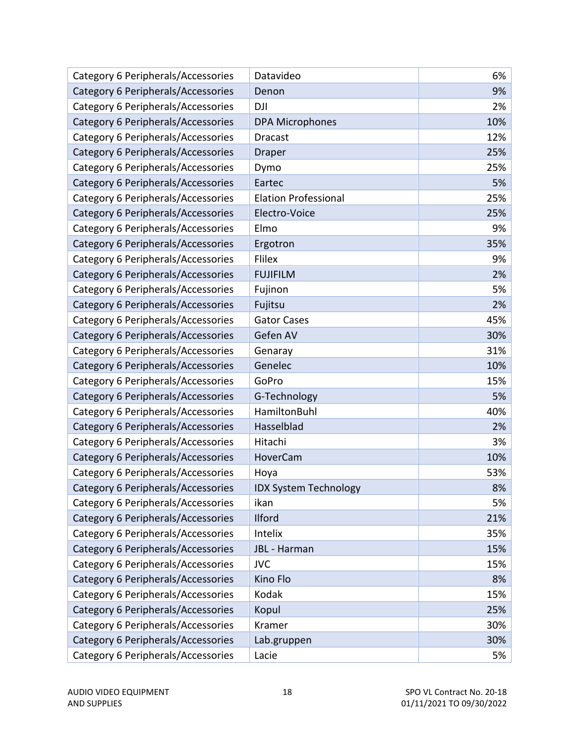| Category 6 Peripherals/Accessories | Datavideo                    | 6%  |
|------------------------------------|------------------------------|-----|
| Category 6 Peripherals/Accessories | Denon                        | 9%  |
| Category 6 Peripherals/Accessories | <b>DJI</b>                   | 2%  |
| Category 6 Peripherals/Accessories | <b>DPA Microphones</b>       | 10% |
| Category 6 Peripherals/Accessories | <b>Dracast</b>               | 12% |
| Category 6 Peripherals/Accessories | <b>Draper</b>                | 25% |
| Category 6 Peripherals/Accessories | Dymo                         | 25% |
| Category 6 Peripherals/Accessories | Eartec                       | 5%  |
| Category 6 Peripherals/Accessories | <b>Elation Professional</b>  | 25% |
| Category 6 Peripherals/Accessories | Electro-Voice                | 25% |
| Category 6 Peripherals/Accessories | Elmo                         | 9%  |
| Category 6 Peripherals/Accessories | Ergotron                     | 35% |
| Category 6 Peripherals/Accessories | Flilex                       | 9%  |
| Category 6 Peripherals/Accessories | <b>FUJIFILM</b>              | 2%  |
| Category 6 Peripherals/Accessories | Fujinon                      | 5%  |
| Category 6 Peripherals/Accessories | Fujitsu                      | 2%  |
| Category 6 Peripherals/Accessories | <b>Gator Cases</b>           | 45% |
| Category 6 Peripherals/Accessories | Gefen AV                     | 30% |
| Category 6 Peripherals/Accessories | Genaray                      | 31% |
| Category 6 Peripherals/Accessories | Genelec                      | 10% |
| Category 6 Peripherals/Accessories | GoPro                        | 15% |
| Category 6 Peripherals/Accessories | G-Technology                 | 5%  |
| Category 6 Peripherals/Accessories | HamiltonBuhl                 | 40% |
| Category 6 Peripherals/Accessories | Hasselblad                   | 2%  |
| Category 6 Peripherals/Accessories | Hitachi                      | 3%  |
| Category 6 Peripherals/Accessories | HoverCam                     | 10% |
| Category 6 Peripherals/Accessories | Hoya                         | 53% |
| Category 6 Peripherals/Accessories | <b>IDX System Technology</b> | 8%  |
| Category 6 Peripherals/Accessories | ikan                         | 5%  |
| Category 6 Peripherals/Accessories | <b>Ilford</b>                | 21% |
| Category 6 Peripherals/Accessories | Intelix                      | 35% |
| Category 6 Peripherals/Accessories | JBL - Harman                 | 15% |
| Category 6 Peripherals/Accessories | <b>JVC</b>                   | 15% |
| Category 6 Peripherals/Accessories | Kino Flo                     | 8%  |
| Category 6 Peripherals/Accessories | Kodak                        | 15% |
| Category 6 Peripherals/Accessories | Kopul                        | 25% |
| Category 6 Peripherals/Accessories | Kramer                       | 30% |
| Category 6 Peripherals/Accessories | Lab.gruppen                  | 30% |
| Category 6 Peripherals/Accessories | Lacie                        | 5%  |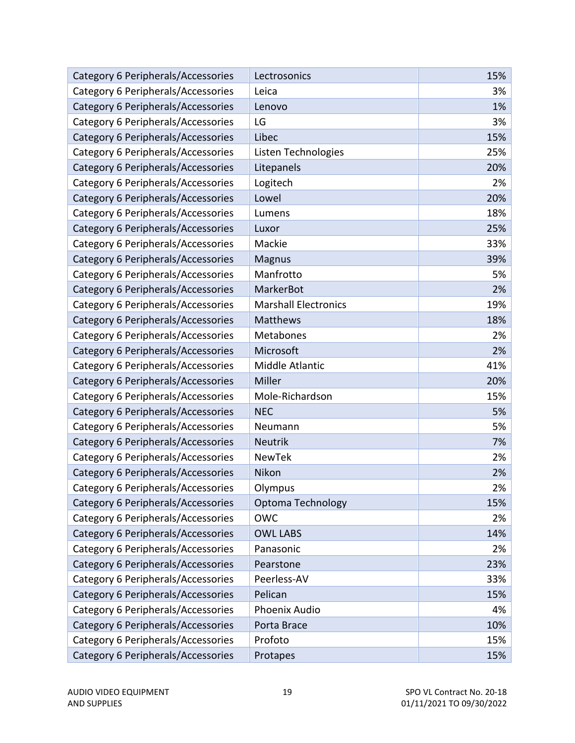| Category 6 Peripherals/Accessories | Lectrosonics                | 15% |
|------------------------------------|-----------------------------|-----|
| Category 6 Peripherals/Accessories | Leica                       | 3%  |
| Category 6 Peripherals/Accessories | Lenovo                      | 1%  |
| Category 6 Peripherals/Accessories | LG                          | 3%  |
| Category 6 Peripherals/Accessories | Libec                       | 15% |
| Category 6 Peripherals/Accessories | Listen Technologies         | 25% |
| Category 6 Peripherals/Accessories | Litepanels                  | 20% |
| Category 6 Peripherals/Accessories | Logitech                    | 2%  |
| Category 6 Peripherals/Accessories | Lowel                       | 20% |
| Category 6 Peripherals/Accessories | Lumens                      | 18% |
| Category 6 Peripherals/Accessories | Luxor                       | 25% |
| Category 6 Peripherals/Accessories | Mackie                      | 33% |
| Category 6 Peripherals/Accessories | <b>Magnus</b>               | 39% |
| Category 6 Peripherals/Accessories | Manfrotto                   | 5%  |
| Category 6 Peripherals/Accessories | MarkerBot                   | 2%  |
| Category 6 Peripherals/Accessories | <b>Marshall Electronics</b> | 19% |
| Category 6 Peripherals/Accessories | <b>Matthews</b>             | 18% |
| Category 6 Peripherals/Accessories | Metabones                   | 2%  |
| Category 6 Peripherals/Accessories | Microsoft                   | 2%  |
| Category 6 Peripherals/Accessories | Middle Atlantic             | 41% |
| Category 6 Peripherals/Accessories | Miller                      | 20% |
| Category 6 Peripherals/Accessories | Mole-Richardson             | 15% |
| Category 6 Peripherals/Accessories | <b>NEC</b>                  | 5%  |
| Category 6 Peripherals/Accessories | Neumann                     | 5%  |
| Category 6 Peripherals/Accessories | <b>Neutrik</b>              | 7%  |
| Category 6 Peripherals/Accessories | <b>NewTek</b>               | 2%  |
| Category 6 Peripherals/Accessories | Nikon                       | 2%  |
| Category 6 Peripherals/Accessories | Olympus                     | 2%  |
| Category 6 Peripherals/Accessories | Optoma Technology           | 15% |
| Category 6 Peripherals/Accessories | <b>OWC</b>                  | 2%  |
| Category 6 Peripherals/Accessories | <b>OWL LABS</b>             | 14% |
| Category 6 Peripherals/Accessories | Panasonic                   | 2%  |
| Category 6 Peripherals/Accessories | Pearstone                   | 23% |
| Category 6 Peripherals/Accessories | Peerless-AV                 | 33% |
| Category 6 Peripherals/Accessories | Pelican                     | 15% |
| Category 6 Peripherals/Accessories | Phoenix Audio               | 4%  |
| Category 6 Peripherals/Accessories | Porta Brace                 | 10% |
| Category 6 Peripherals/Accessories | Profoto                     | 15% |
| Category 6 Peripherals/Accessories | Protapes                    | 15% |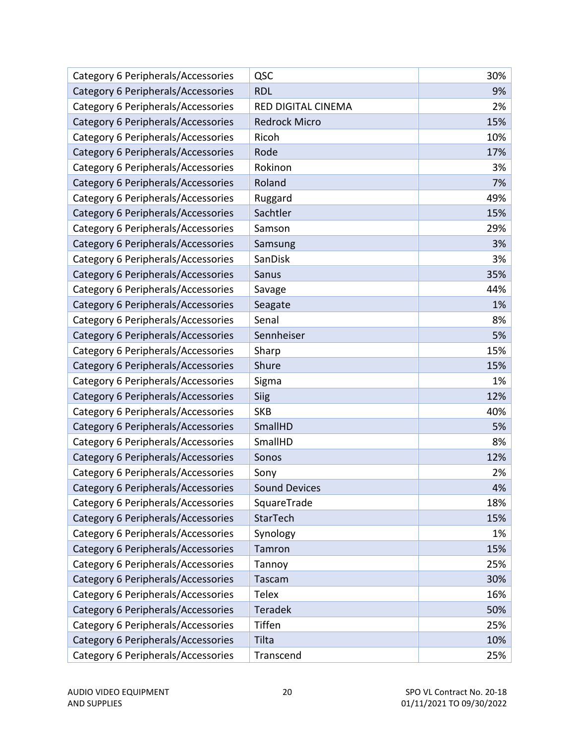| Category 6 Peripherals/Accessories | QSC                  | 30% |
|------------------------------------|----------------------|-----|
| Category 6 Peripherals/Accessories | <b>RDL</b>           | 9%  |
| Category 6 Peripherals/Accessories | RED DIGITAL CINEMA   | 2%  |
| Category 6 Peripherals/Accessories | <b>Redrock Micro</b> | 15% |
| Category 6 Peripherals/Accessories | Ricoh                | 10% |
| Category 6 Peripherals/Accessories | Rode                 | 17% |
| Category 6 Peripherals/Accessories | Rokinon              | 3%  |
| Category 6 Peripherals/Accessories | Roland               | 7%  |
| Category 6 Peripherals/Accessories | Ruggard              | 49% |
| Category 6 Peripherals/Accessories | Sachtler             | 15% |
| Category 6 Peripherals/Accessories | Samson               | 29% |
| Category 6 Peripherals/Accessories | Samsung              | 3%  |
| Category 6 Peripherals/Accessories | SanDisk              | 3%  |
| Category 6 Peripherals/Accessories | Sanus                | 35% |
| Category 6 Peripherals/Accessories | Savage               | 44% |
| Category 6 Peripherals/Accessories | Seagate              | 1%  |
| Category 6 Peripherals/Accessories | Senal                | 8%  |
| Category 6 Peripherals/Accessories | Sennheiser           | 5%  |
| Category 6 Peripherals/Accessories | Sharp                | 15% |
| Category 6 Peripherals/Accessories | Shure                | 15% |
| Category 6 Peripherals/Accessories | Sigma                | 1%  |
| Category 6 Peripherals/Accessories | Siig                 | 12% |
| Category 6 Peripherals/Accessories | <b>SKB</b>           | 40% |
| Category 6 Peripherals/Accessories | SmallHD              | 5%  |
| Category 6 Peripherals/Accessories | SmallHD              | 8%  |
| Category 6 Peripherals/Accessories | Sonos                | 12% |
| Category 6 Peripherals/Accessories | Sony                 | 2%  |
| Category 6 Peripherals/Accessories | <b>Sound Devices</b> | 4%  |
| Category 6 Peripherals/Accessories | SquareTrade          | 18% |
| Category 6 Peripherals/Accessories | StarTech             | 15% |
| Category 6 Peripherals/Accessories | Synology             | 1%  |
| Category 6 Peripherals/Accessories | Tamron               | 15% |
| Category 6 Peripherals/Accessories | Tannoy               | 25% |
| Category 6 Peripherals/Accessories | Tascam               | 30% |
| Category 6 Peripherals/Accessories | <b>Telex</b>         | 16% |
| Category 6 Peripherals/Accessories | <b>Teradek</b>       | 50% |
| Category 6 Peripherals/Accessories | Tiffen               | 25% |
| Category 6 Peripherals/Accessories | Tilta                | 10% |
| Category 6 Peripherals/Accessories | Transcend            | 25% |